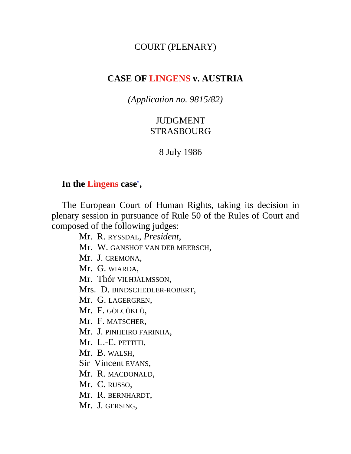### COURT (PLENARY)

### **CASE OF LINGENS v. AUSTRIA**

*(Application no. 9815/82)*

### JUDGMENT STRASBOURG

#### 8 July 1986

#### **In the Lingens case**<sup>∗</sup> **,**

The European Court of Human Rights, taking its decision in plenary session in pursuance of Rule 50 of the Rules of Court and composed of the following judges:

- Mr. R. RYSSDAL, *President*,
- Mr. W. GANSHOF VAN DER MEERSCH,
- Mr. J. CREMONA,
- Mr. G. WIARDA,
- Mr. Thór VILHJÁLMSSON,
- Mrs. D. BINDSCHEDLER-ROBERT,
- Mr. G. LAGERGREN,
- Mr. F. GÖLCÜKLÜ,
- Mr. F. MATSCHER,
- Mr. J. PINHEIRO FARINHA,
- Mr. L.-E. PETTITI,
- Mr. B. WALSH,
- Sir Vincent EVANS,
- Mr. R. MACDONALD,
- Mr. C. RUSSO,
- Mr. R. BERNHARDT,
- Mr. J. GERSING,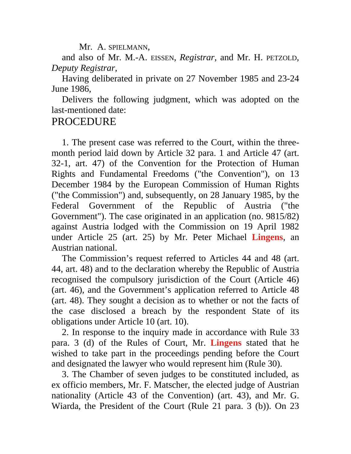Mr. A. SPIELMANN,

and also of Mr. M.-A. EISSEN, *Registrar*, and Mr. H. PETZOLD, *Deputy Registrar*,

Having deliberated in private on 27 November 1985 and 23-24 June 1986,

Delivers the following judgment, which was adopted on the last-mentioned date:

## PROCEDURE

1. The present case was referred to the Court, within the threemonth period laid down by Article 32 para. 1 and Article 47 (art. 32-1, art. 47) of the Convention for the Protection of Human Rights and Fundamental Freedoms ("the Convention"), on 13 December 1984 by the European Commission of Human Rights ("the Commission") and, subsequently, on 28 January 1985, by the Federal Government of the Republic of Austria ("the Government"). The case originated in an application (no. 9815/82) against Austria lodged with the Commission on 19 April 1982 under Article 25 (art. 25) by Mr. Peter Michael **Lingens**, an Austrian national.

The Commission's request referred to Articles 44 and 48 (art. 44, art. 48) and to the declaration whereby the Republic of Austria recognised the compulsory jurisdiction of the Court (Article 46) (art. 46), and the Government's application referred to Article 48 (art. 48). They sought a decision as to whether or not the facts of the case disclosed a breach by the respondent State of its obligations under Article 10 (art. 10).

2. In response to the inquiry made in accordance with Rule 33 para. 3 (d) of the Rules of Court, Mr. **Lingens** stated that he wished to take part in the proceedings pending before the Court and designated the lawyer who would represent him (Rule 30).

3. The Chamber of seven judges to be constituted included, as ex officio members, Mr. F. Matscher, the elected judge of Austrian nationality (Article 43 of the Convention) (art. 43), and Mr. G. Wiarda, the President of the Court (Rule 21 para. 3 (b)). On 23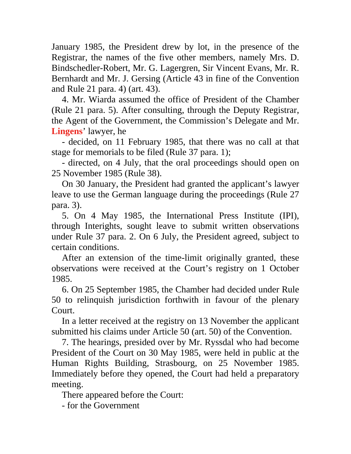January 1985, the President drew by lot, in the presence of the Registrar, the names of the five other members, namely Mrs. D. Bindschedler-Robert, Mr. G. Lagergren, Sir Vincent Evans, Mr. R. Bernhardt and Mr. J. Gersing (Article 43 in fine of the Convention and Rule 21 para. 4) (art. 43).

4. Mr. Wiarda assumed the office of President of the Chamber (Rule 21 para. 5). After consulting, through the Deputy Registrar, the Agent of the Government, the Commission's Delegate and Mr. **Lingens**' lawyer, he

- decided, on 11 February 1985, that there was no call at that stage for memorials to be filed (Rule 37 para. 1);

- directed, on 4 July, that the oral proceedings should open on 25 November 1985 (Rule 38).

On 30 January, the President had granted the applicant's lawyer leave to use the German language during the proceedings (Rule 27 para. 3).

5. On 4 May 1985, the International Press Institute (IPI), through Interights, sought leave to submit written observations under Rule 37 para. 2. On 6 July, the President agreed, subject to certain conditions.

After an extension of the time-limit originally granted, these observations were received at the Court's registry on 1 October 1985.

6. On 25 September 1985, the Chamber had decided under Rule 50 to relinquish jurisdiction forthwith in favour of the plenary Court.

In a letter received at the registry on 13 November the applicant submitted his claims under Article 50 (art. 50) of the Convention.

7. The hearings, presided over by Mr. Ryssdal who had become President of the Court on 30 May 1985, were held in public at the Human Rights Building, Strasbourg, on 25 November 1985. Immediately before they opened, the Court had held a preparatory meeting.

There appeared before the Court:

- for the Government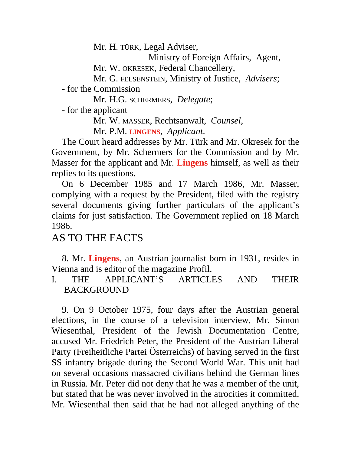Mr. H. TÜRK, Legal Adviser,

Ministry of Foreign Affairs, Agent,

Mr. W. OKRESEK, Federal Chancellery,

Mr. G. FELSENSTEIN, Ministry of Justice, *Advisers*;

- for the Commission

Mr. H.G. SCHERMERS, *Delegate*;

- for the applicant

Mr. W. MASSER, Rechtsanwalt, *Counsel*,

Mr. P.M. **LINGENS**, *Applicant*.

The Court heard addresses by Mr. Türk and Mr. Okresek for the Government, by Mr. Schermers for the Commission and by Mr. Masser for the applicant and Mr. **Lingens** himself, as well as their replies to its questions.

On 6 December 1985 and 17 March 1986, Mr. Masser, complying with a request by the President, filed with the registry several documents giving further particulars of the applicant's claims for just satisfaction. The Government replied on 18 March 1986.

# AS TO THE FACTS

8. Mr. **Lingens**, an Austrian journalist born in 1931, resides in Vienna and is editor of the magazine Profil.

### I. THE APPLICANT'S ARTICLES AND THEIR BACKGROUND

9. On 9 October 1975, four days after the Austrian general elections, in the course of a television interview, Mr. Simon Wiesenthal, President of the Jewish Documentation Centre, accused Mr. Friedrich Peter, the President of the Austrian Liberal Party (Freiheitliche Partei Österreichs) of having served in the first SS infantry brigade during the Second World War. This unit had on several occasions massacred civilians behind the German lines in Russia. Mr. Peter did not deny that he was a member of the unit, but stated that he was never involved in the atrocities it committed. Mr. Wiesenthal then said that he had not alleged anything of the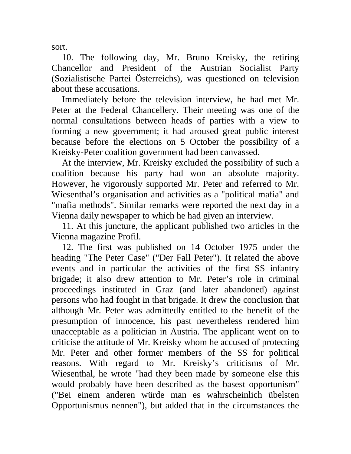sort.

10. The following day, Mr. Bruno Kreisky, the retiring Chancellor and President of the Austrian Socialist Party (Sozialistische Partei Österreichs), was questioned on television about these accusations.

Immediately before the television interview, he had met Mr. Peter at the Federal Chancellery. Their meeting was one of the normal consultations between heads of parties with a view to forming a new government; it had aroused great public interest because before the elections on 5 October the possibility of a Kreisky-Peter coalition government had been canvassed.

At the interview, Mr. Kreisky excluded the possibility of such a coalition because his party had won an absolute majority. However, he vigorously supported Mr. Peter and referred to Mr. Wiesenthal's organisation and activities as a "political mafia" and "mafia methods". Similar remarks were reported the next day in a Vienna daily newspaper to which he had given an interview.

11. At this juncture, the applicant published two articles in the Vienna magazine Profil.

12. The first was published on 14 October 1975 under the heading "The Peter Case" ("Der Fall Peter"). It related the above events and in particular the activities of the first SS infantry brigade; it also drew attention to Mr. Peter's role in criminal proceedings instituted in Graz (and later abandoned) against persons who had fought in that brigade. It drew the conclusion that although Mr. Peter was admittedly entitled to the benefit of the presumption of innocence, his past nevertheless rendered him unacceptable as a politician in Austria. The applicant went on to criticise the attitude of Mr. Kreisky whom he accused of protecting Mr. Peter and other former members of the SS for political reasons. With regard to Mr. Kreisky's criticisms of Mr. Wiesenthal, he wrote "had they been made by someone else this would probably have been described as the basest opportunism" ("Bei einem anderen würde man es wahrscheinlich übelsten Opportunismus nennen"), but added that in the circumstances the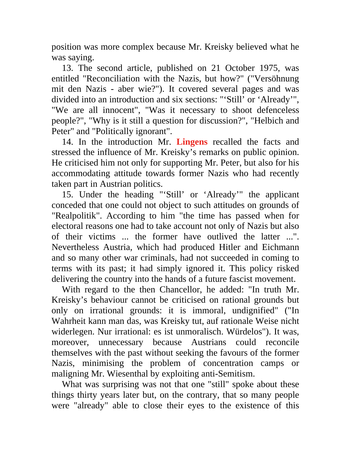position was more complex because Mr. Kreisky believed what he was saying.

13. The second article, published on 21 October 1975, was entitled "Reconciliation with the Nazis, but how?" ("Versöhnung mit den Nazis - aber wie?"). It covered several pages and was divided into an introduction and six sections: "'Still' or 'Already'", "We are all innocent", "Was it necessary to shoot defenceless people?", "Why is it still a question for discussion?", "Helbich and Peter" and "Politically ignorant".

14. In the introduction Mr. **Lingens** recalled the facts and stressed the influence of Mr. Kreisky's remarks on public opinion. He criticised him not only for supporting Mr. Peter, but also for his accommodating attitude towards former Nazis who had recently taken part in Austrian politics.

15. Under the heading "'Still' or 'Already'" the applicant conceded that one could not object to such attitudes on grounds of "Realpolitik". According to him "the time has passed when for electoral reasons one had to take account not only of Nazis but also of their victims ... the former have outlived the latter ...". Nevertheless Austria, which had produced Hitler and Eichmann and so many other war criminals, had not succeeded in coming to terms with its past; it had simply ignored it. This policy risked delivering the country into the hands of a future fascist movement.

With regard to the then Chancellor, he added: "In truth Mr. Kreisky's behaviour cannot be criticised on rational grounds but only on irrational grounds: it is immoral, undignified" ("In Wahrheit kann man das, was Kreisky tut, auf rationale Weise nicht widerlegen. Nur irrational: es ist unmoralisch. Würdelos"). It was, moreover, unnecessary because Austrians could reconcile themselves with the past without seeking the favours of the former Nazis, minimising the problem of concentration camps or maligning Mr. Wiesenthal by exploiting anti-Semitism.

What was surprising was not that one "still" spoke about these things thirty years later but, on the contrary, that so many people were "already" able to close their eyes to the existence of this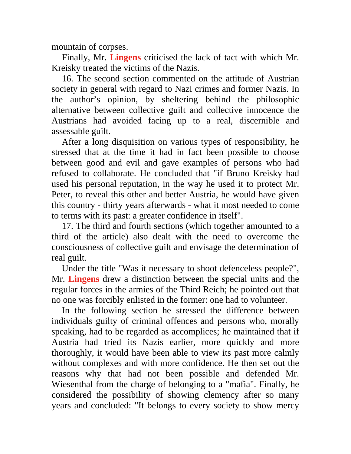mountain of corpses.

Finally, Mr. **Lingens** criticised the lack of tact with which Mr. Kreisky treated the victims of the Nazis.

16. The second section commented on the attitude of Austrian society in general with regard to Nazi crimes and former Nazis. In the author's opinion, by sheltering behind the philosophic alternative between collective guilt and collective innocence the Austrians had avoided facing up to a real, discernible and assessable guilt.

After a long disquisition on various types of responsibility, he stressed that at the time it had in fact been possible to choose between good and evil and gave examples of persons who had refused to collaborate. He concluded that "if Bruno Kreisky had used his personal reputation, in the way he used it to protect Mr. Peter, to reveal this other and better Austria, he would have given this country - thirty years afterwards - what it most needed to come to terms with its past: a greater confidence in itself".

17. The third and fourth sections (which together amounted to a third of the article) also dealt with the need to overcome the consciousness of collective guilt and envisage the determination of real guilt.

Under the title "Was it necessary to shoot defenceless people?", Mr. **Lingens** drew a distinction between the special units and the regular forces in the armies of the Third Reich; he pointed out that no one was forcibly enlisted in the former: one had to volunteer.

In the following section he stressed the difference between individuals guilty of criminal offences and persons who, morally speaking, had to be regarded as accomplices; he maintained that if Austria had tried its Nazis earlier, more quickly and more thoroughly, it would have been able to view its past more calmly without complexes and with more confidence. He then set out the reasons why that had not been possible and defended Mr. Wiesenthal from the charge of belonging to a "mafia". Finally, he considered the possibility of showing clemency after so many years and concluded: "It belongs to every society to show mercy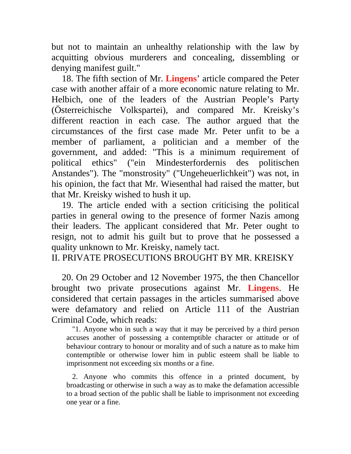but not to maintain an unhealthy relationship with the law by acquitting obvious murderers and concealing, dissembling or denying manifest guilt."

18. The fifth section of Mr. **Lingens**' article compared the Peter case with another affair of a more economic nature relating to Mr. Helbich, one of the leaders of the Austrian People's Party (Österreichische Volkspartei), and compared Mr. Kreisky's different reaction in each case. The author argued that the circumstances of the first case made Mr. Peter unfit to be a member of parliament, a politician and a member of the government, and added: "This is a minimum requirement of political ethics" ("ein Mindesterfordernis des politischen Anstandes"). The "monstrosity" ("Ungeheuerlichkeit") was not, in his opinion, the fact that Mr. Wiesenthal had raised the matter, but that Mr. Kreisky wished to hush it up.

19. The article ended with a section criticising the political parties in general owing to the presence of former Nazis among their leaders. The applicant considered that Mr. Peter ought to resign, not to admit his guilt but to prove that he possessed a quality unknown to Mr. Kreisky, namely tact.

II. PRIVATE PROSECUTIONS BROUGHT BY MR. KREISKY

20. On 29 October and 12 November 1975, the then Chancellor brought two private prosecutions against Mr. **Lingens**. He considered that certain passages in the articles summarised above were defamatory and relied on Article 111 of the Austrian Criminal Code, which reads:

"1. Anyone who in such a way that it may be perceived by a third person accuses another of possessing a contemptible character or attitude or of behaviour contrary to honour or morality and of such a nature as to make him contemptible or otherwise lower him in public esteem shall be liable to imprisonment not exceeding six months or a fine.

2. Anyone who commits this offence in a printed document, by broadcasting or otherwise in such a way as to make the defamation accessible to a broad section of the public shall be liable to imprisonment not exceeding one year or a fine.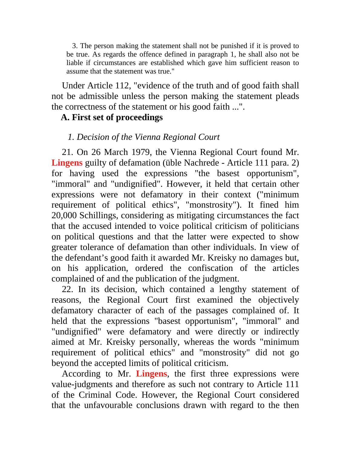3. The person making the statement shall not be punished if it is proved to be true. As regards the offence defined in paragraph 1, he shall also not be liable if circumstances are established which gave him sufficient reason to assume that the statement was true."

Under Article 112, "evidence of the truth and of good faith shall not be admissible unless the person making the statement pleads the correctness of the statement or his good faith ...".

### **A. First set of proceedings**

## *1. Decision of the Vienna Regional Court*

21. On 26 March 1979, the Vienna Regional Court found Mr. **Lingens** guilty of defamation (üble Nachrede - Article 111 para. 2) for having used the expressions "the basest opportunism", "immoral" and "undignified". However, it held that certain other expressions were not defamatory in their context ("minimum requirement of political ethics", "monstrosity"). It fined him 20,000 Schillings, considering as mitigating circumstances the fact that the accused intended to voice political criticism of politicians on political questions and that the latter were expected to show greater tolerance of defamation than other individuals. In view of the defendant's good faith it awarded Mr. Kreisky no damages but, on his application, ordered the confiscation of the articles complained of and the publication of the judgment.

22. In its decision, which contained a lengthy statement of reasons, the Regional Court first examined the objectively defamatory character of each of the passages complained of. It held that the expressions "basest opportunism", "immoral" and "undignified" were defamatory and were directly or indirectly aimed at Mr. Kreisky personally, whereas the words "minimum requirement of political ethics" and "monstrosity" did not go beyond the accepted limits of political criticism.

According to Mr. **Lingens**, the first three expressions were value-judgments and therefore as such not contrary to Article 111 of the Criminal Code. However, the Regional Court considered that the unfavourable conclusions drawn with regard to the then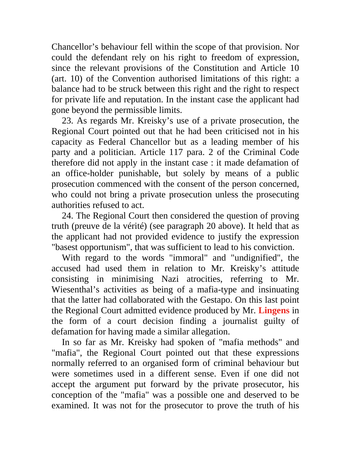Chancellor's behaviour fell within the scope of that provision. Nor could the defendant rely on his right to freedom of expression, since the relevant provisions of the Constitution and Article 10 (art. 10) of the Convention authorised limitations of this right: a balance had to be struck between this right and the right to respect for private life and reputation. In the instant case the applicant had gone beyond the permissible limits.

23. As regards Mr. Kreisky's use of a private prosecution, the Regional Court pointed out that he had been criticised not in his capacity as Federal Chancellor but as a leading member of his party and a politician. Article 117 para. 2 of the Criminal Code therefore did not apply in the instant case : it made defamation of an office-holder punishable, but solely by means of a public prosecution commenced with the consent of the person concerned, who could not bring a private prosecution unless the prosecuting authorities refused to act.

24. The Regional Court then considered the question of proving truth (preuve de la vérité) (see paragraph 20 above). It held that as the applicant had not provided evidence to justify the expression "basest opportunism", that was sufficient to lead to his conviction.

With regard to the words "immoral" and "undignified", the accused had used them in relation to Mr. Kreisky's attitude consisting in minimising Nazi atrocities, referring to Mr. Wiesenthal's activities as being of a mafia-type and insinuating that the latter had collaborated with the Gestapo. On this last point the Regional Court admitted evidence produced by Mr. **Lingens** in the form of a court decision finding a journalist guilty of defamation for having made a similar allegation.

In so far as Mr. Kreisky had spoken of "mafia methods" and "mafia", the Regional Court pointed out that these expressions normally referred to an organised form of criminal behaviour but were sometimes used in a different sense. Even if one did not accept the argument put forward by the private prosecutor, his conception of the "mafia" was a possible one and deserved to be examined. It was not for the prosecutor to prove the truth of his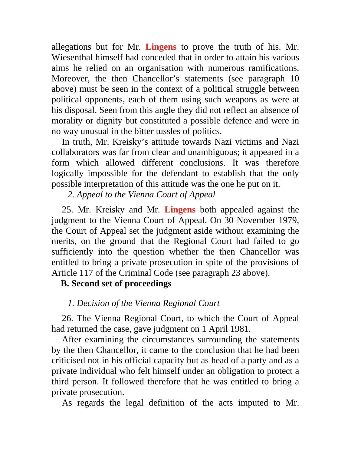allegations but for Mr. **Lingens** to prove the truth of his. Mr. Wiesenthal himself had conceded that in order to attain his various aims he relied on an organisation with numerous ramifications. Moreover, the then Chancellor's statements (see paragraph 10 above) must be seen in the context of a political struggle between political opponents, each of them using such weapons as were at his disposal. Seen from this angle they did not reflect an absence of morality or dignity but constituted a possible defence and were in no way unusual in the bitter tussles of politics.

In truth, Mr. Kreisky's attitude towards Nazi victims and Nazi collaborators was far from clear and unambiguous; it appeared in a form which allowed different conclusions. It was therefore logically impossible for the defendant to establish that the only possible interpretation of this attitude was the one he put on it.

*2. Appeal to the Vienna Court of Appeal*

25. Mr. Kreisky and Mr. **Lingens** both appealed against the judgment to the Vienna Court of Appeal. On 30 November 1979, the Court of Appeal set the judgment aside without examining the merits, on the ground that the Regional Court had failed to go sufficiently into the question whether the then Chancellor was entitled to bring a private prosecution in spite of the provisions of Article 117 of the Criminal Code (see paragraph 23 above).

#### **B. Second set of proceedings**

#### *1. Decision of the Vienna Regional Court*

26. The Vienna Regional Court, to which the Court of Appeal had returned the case, gave judgment on 1 April 1981.

After examining the circumstances surrounding the statements by the then Chancellor, it came to the conclusion that he had been criticised not in his official capacity but as head of a party and as a private individual who felt himself under an obligation to protect a third person. It followed therefore that he was entitled to bring a private prosecution.

As regards the legal definition of the acts imputed to Mr.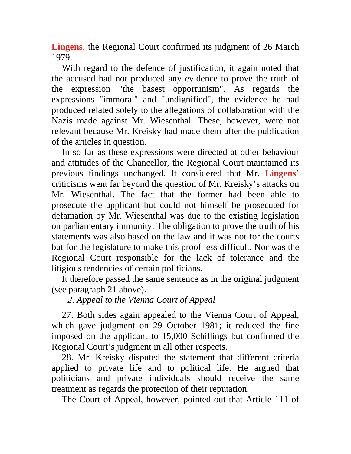**Lingens**, the Regional Court confirmed its judgment of 26 March 1979.

With regard to the defence of justification, it again noted that the accused had not produced any evidence to prove the truth of the expression "the basest opportunism". As regards the expressions "immoral" and "undignified", the evidence he had produced related solely to the allegations of collaboration with the Nazis made against Mr. Wiesenthal. These, however, were not relevant because Mr. Kreisky had made them after the publication of the articles in question.

In so far as these expressions were directed at other behaviour and attitudes of the Chancellor, the Regional Court maintained its previous findings unchanged. It considered that Mr. **Lingens**' criticisms went far beyond the question of Mr. Kreisky's attacks on Mr. Wiesenthal. The fact that the former had been able to prosecute the applicant but could not himself be prosecuted for defamation by Mr. Wiesenthal was due to the existing legislation on parliamentary immunity. The obligation to prove the truth of his statements was also based on the law and it was not for the courts but for the legislature to make this proof less difficult. Nor was the Regional Court responsible for the lack of tolerance and the litigious tendencies of certain politicians.

It therefore passed the same sentence as in the original judgment (see paragraph 21 above).

*2. Appeal to the Vienna Court of Appeal*

27. Both sides again appealed to the Vienna Court of Appeal, which gave judgment on 29 October 1981; it reduced the fine imposed on the applicant to 15,000 Schillings but confirmed the Regional Court's judgment in all other respects.

28. Mr. Kreisky disputed the statement that different criteria applied to private life and to political life. He argued that politicians and private individuals should receive the same treatment as regards the protection of their reputation.

The Court of Appeal, however, pointed out that Article 111 of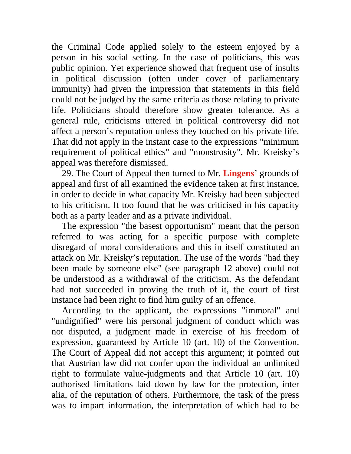the Criminal Code applied solely to the esteem enjoyed by a person in his social setting. In the case of politicians, this was public opinion. Yet experience showed that frequent use of insults in political discussion (often under cover of parliamentary immunity) had given the impression that statements in this field could not be judged by the same criteria as those relating to private life. Politicians should therefore show greater tolerance. As a general rule, criticisms uttered in political controversy did not affect a person's reputation unless they touched on his private life. That did not apply in the instant case to the expressions "minimum requirement of political ethics" and "monstrosity". Mr. Kreisky's appeal was therefore dismissed.

29. The Court of Appeal then turned to Mr. **Lingens**' grounds of appeal and first of all examined the evidence taken at first instance, in order to decide in what capacity Mr. Kreisky had been subjected to his criticism. It too found that he was criticised in his capacity both as a party leader and as a private individual.

The expression "the basest opportunism" meant that the person referred to was acting for a specific purpose with complete disregard of moral considerations and this in itself constituted an attack on Mr. Kreisky's reputation. The use of the words "had they been made by someone else" (see paragraph 12 above) could not be understood as a withdrawal of the criticism. As the defendant had not succeeded in proving the truth of it, the court of first instance had been right to find him guilty of an offence.

According to the applicant, the expressions "immoral" and "undignified" were his personal judgment of conduct which was not disputed, a judgment made in exercise of his freedom of expression, guaranteed by Article 10 (art. 10) of the Convention. The Court of Appeal did not accept this argument; it pointed out that Austrian law did not confer upon the individual an unlimited right to formulate value-judgments and that Article 10 (art. 10) authorised limitations laid down by law for the protection, inter alia, of the reputation of others. Furthermore, the task of the press was to impart information, the interpretation of which had to be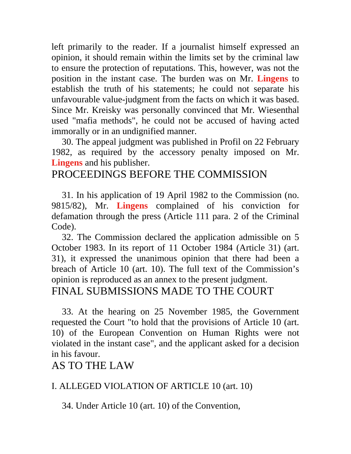left primarily to the reader. If a journalist himself expressed an opinion, it should remain within the limits set by the criminal law to ensure the protection of reputations. This, however, was not the position in the instant case. The burden was on Mr. **Lingens** to establish the truth of his statements; he could not separate his unfavourable value-judgment from the facts on which it was based. Since Mr. Kreisky was personally convinced that Mr. Wiesenthal used "mafia methods", he could not be accused of having acted immorally or in an undignified manner.

30. The appeal judgment was published in Profil on 22 February 1982, as required by the accessory penalty imposed on Mr. **Lingens** and his publisher.

# PROCEEDINGS BEFORE THE COMMISSION

31. In his application of 19 April 1982 to the Commission (no. 9815/82), Mr. **Lingens** complained of his conviction for defamation through the press (Article 111 para. 2 of the Criminal Code).

32. The Commission declared the application admissible on 5 October 1983. In its report of 11 October 1984 (Article 31) (art. 31), it expressed the unanimous opinion that there had been a breach of Article 10 (art. 10). The full text of the Commission's opinion is reproduced as an annex to the present judgment.

# FINAL SUBMISSIONS MADE TO THE COURT

33. At the hearing on 25 November 1985, the Government requested the Court "to hold that the provisions of Article 10 (art. 10) of the European Convention on Human Rights were not violated in the instant case", and the applicant asked for a decision in his favour.

# AS TO THE LAW

I. ALLEGED VIOLATION OF ARTICLE 10 (art. 10)

34. Under Article 10 (art. 10) of the Convention,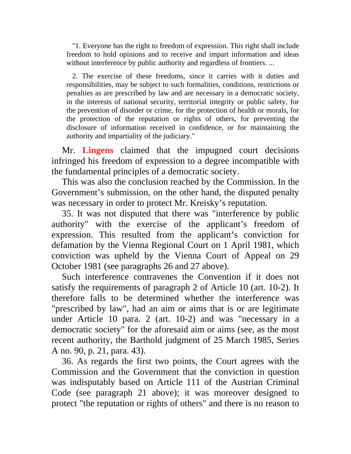"1. Everyone has the right to freedom of expression. This right shall include freedom to hold opinions and to receive and impart information and ideas without interference by public authority and regardless of frontiers. ...

2. The exercise of these freedoms, since it carries with it duties and responsibilities, may be subject to such formalities, conditions, restrictions or penalties as are prescribed by law and are necessary in a democratic society, in the interests of national security, territorial integrity or public safety, for the prevention of disorder or crime, for the protection of health or morals, for the protection of the reputation or rights of others, for preventing the disclosure of information received in confidence, or for maintaining the authority and impartiality of the judiciary."

Mr. **Lingens** claimed that the impugned court decisions infringed his freedom of expression to a degree incompatible with the fundamental principles of a democratic society.

This was also the conclusion reached by the Commission. In the Government's submission, on the other hand, the disputed penalty was necessary in order to protect Mr. Kreisky's reputation.

35. It was not disputed that there was "interference by public authority" with the exercise of the applicant's freedom of expression. This resulted from the applicant's conviction for defamation by the Vienna Regional Court on 1 April 1981, which conviction was upheld by the Vienna Court of Appeal on 29 October 1981 (see paragraphs 26 and 27 above).

Such interference contravenes the Convention if it does not satisfy the requirements of paragraph 2 of Article 10 (art. 10-2). It therefore falls to be determined whether the interference was "prescribed by law", had an aim or aims that is or are legitimate under Article 10 para. 2 (art. 10-2) and was "necessary in a democratic society" for the aforesaid aim or aims (see, as the most recent authority, the Barthold judgment of 25 March 1985, Series A no. 90, p. 21, para. 43).

36. As regards the first two points, the Court agrees with the Commission and the Government that the conviction in question was indisputably based on Article 111 of the Austrian Criminal Code (see paragraph 21 above); it was moreover designed to protect "the reputation or rights of others" and there is no reason to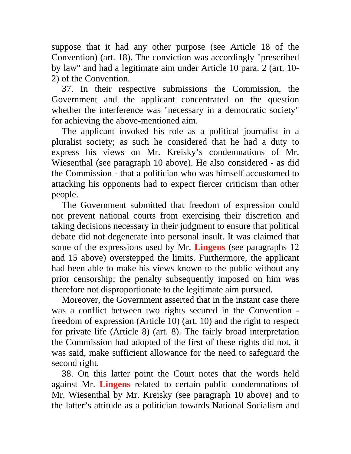suppose that it had any other purpose (see Article 18 of the Convention) (art. 18). The conviction was accordingly "prescribed by law" and had a legitimate aim under Article 10 para. 2 (art. 10- 2) of the Convention.

37. In their respective submissions the Commission, the Government and the applicant concentrated on the question whether the interference was "necessary in a democratic society" for achieving the above-mentioned aim.

The applicant invoked his role as a political journalist in a pluralist society; as such he considered that he had a duty to express his views on Mr. Kreisky's condemnations of Mr. Wiesenthal (see paragraph 10 above). He also considered - as did the Commission - that a politician who was himself accustomed to attacking his opponents had to expect fiercer criticism than other people.

The Government submitted that freedom of expression could not prevent national courts from exercising their discretion and taking decisions necessary in their judgment to ensure that political debate did not degenerate into personal insult. It was claimed that some of the expressions used by Mr. **Lingens** (see paragraphs 12 and 15 above) overstepped the limits. Furthermore, the applicant had been able to make his views known to the public without any prior censorship; the penalty subsequently imposed on him was therefore not disproportionate to the legitimate aim pursued.

Moreover, the Government asserted that in the instant case there was a conflict between two rights secured in the Convention freedom of expression (Article 10) (art. 10) and the right to respect for private life (Article 8) (art. 8). The fairly broad interpretation the Commission had adopted of the first of these rights did not, it was said, make sufficient allowance for the need to safeguard the second right.

38. On this latter point the Court notes that the words held against Mr. **Lingens** related to certain public condemnations of Mr. Wiesenthal by Mr. Kreisky (see paragraph 10 above) and to the latter's attitude as a politician towards National Socialism and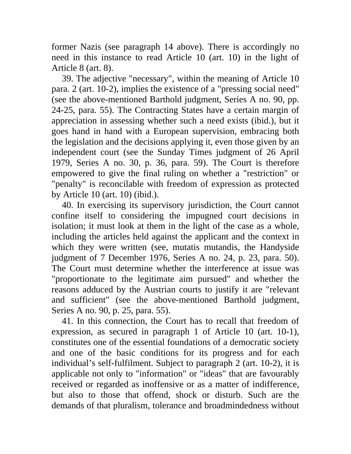former Nazis (see paragraph 14 above). There is accordingly no need in this instance to read Article 10 (art. 10) in the light of Article 8 (art. 8).

39. The adjective "necessary", within the meaning of Article 10 para. 2 (art. 10-2), implies the existence of a "pressing social need" (see the above-mentioned Barthold judgment, Series A no. 90, pp. 24-25, para. 55). The Contracting States have a certain margin of appreciation in assessing whether such a need exists (ibid.), but it goes hand in hand with a European supervision, embracing both the legislation and the decisions applying it, even those given by an independent court (see the Sunday Times judgment of 26 April 1979, Series A no. 30, p. 36, para. 59). The Court is therefore empowered to give the final ruling on whether a "restriction" or "penalty" is reconcilable with freedom of expression as protected by Article 10 (art. 10) (ibid.).

40. In exercising its supervisory jurisdiction, the Court cannot confine itself to considering the impugned court decisions in isolation; it must look at them in the light of the case as a whole, including the articles held against the applicant and the context in which they were written (see, mutatis mutandis, the Handyside judgment of 7 December 1976, Series A no. 24, p. 23, para. 50). The Court must determine whether the interference at issue was "proportionate to the legitimate aim pursued" and whether the reasons adduced by the Austrian courts to justify it are "relevant and sufficient" (see the above-mentioned Barthold judgment, Series A no. 90, p. 25, para. 55).

41. In this connection, the Court has to recall that freedom of expression, as secured in paragraph 1 of Article 10 (art. 10-1), constitutes one of the essential foundations of a democratic society and one of the basic conditions for its progress and for each individual's self-fulfilment. Subject to paragraph 2 (art. 10-2), it is applicable not only to "information" or "ideas" that are favourably received or regarded as inoffensive or as a matter of indifference, but also to those that offend, shock or disturb. Such are the demands of that pluralism, tolerance and broadmindedness without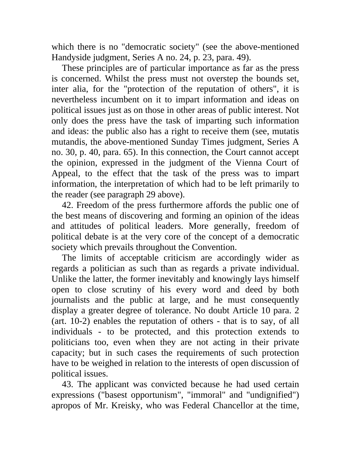which there is no "democratic society" (see the above-mentioned Handyside judgment, Series A no. 24, p. 23, para. 49).

These principles are of particular importance as far as the press is concerned. Whilst the press must not overstep the bounds set, inter alia, for the "protection of the reputation of others", it is nevertheless incumbent on it to impart information and ideas on political issues just as on those in other areas of public interest. Not only does the press have the task of imparting such information and ideas: the public also has a right to receive them (see, mutatis mutandis, the above-mentioned Sunday Times judgment, Series A no. 30, p. 40, para. 65). In this connection, the Court cannot accept the opinion, expressed in the judgment of the Vienna Court of Appeal, to the effect that the task of the press was to impart information, the interpretation of which had to be left primarily to the reader (see paragraph 29 above).

42. Freedom of the press furthermore affords the public one of the best means of discovering and forming an opinion of the ideas and attitudes of political leaders. More generally, freedom of political debate is at the very core of the concept of a democratic society which prevails throughout the Convention.

The limits of acceptable criticism are accordingly wider as regards a politician as such than as regards a private individual. Unlike the latter, the former inevitably and knowingly lays himself open to close scrutiny of his every word and deed by both journalists and the public at large, and he must consequently display a greater degree of tolerance. No doubt Article 10 para. 2 (art. 10-2) enables the reputation of others - that is to say, of all individuals - to be protected, and this protection extends to politicians too, even when they are not acting in their private capacity; but in such cases the requirements of such protection have to be weighed in relation to the interests of open discussion of political issues.

43. The applicant was convicted because he had used certain expressions ("basest opportunism", "immoral" and "undignified") apropos of Mr. Kreisky, who was Federal Chancellor at the time,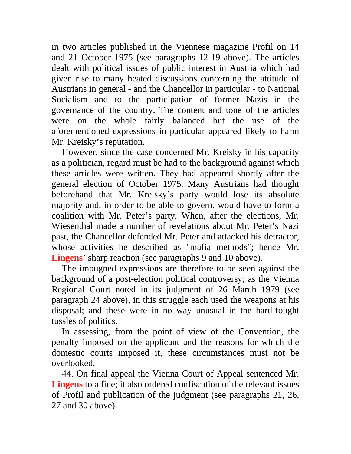in two articles published in the Viennese magazine Profil on 14 and 21 October 1975 (see paragraphs 12-19 above). The articles dealt with political issues of public interest in Austria which had given rise to many heated discussions concerning the attitude of Austrians in general - and the Chancellor in particular - to National Socialism and to the participation of former Nazis in the governance of the country. The content and tone of the articles were on the whole fairly balanced but the use of the aforementioned expressions in particular appeared likely to harm Mr. Kreisky's reputation.

However, since the case concerned Mr. Kreisky in his capacity as a politician, regard must be had to the background against which these articles were written. They had appeared shortly after the general election of October 1975. Many Austrians had thought beforehand that Mr. Kreisky's party would lose its absolute majority and, in order to be able to govern, would have to form a coalition with Mr. Peter's party. When, after the elections, Mr. Wiesenthal made a number of revelations about Mr. Peter's Nazi past, the Chancellor defended Mr. Peter and attacked his detractor, whose activities he described as "mafia methods"; hence Mr. **Lingens**' sharp reaction (see paragraphs 9 and 10 above).

The impugned expressions are therefore to be seen against the background of a post-election political controversy; as the Vienna Regional Court noted in its judgment of 26 March 1979 (see paragraph 24 above), in this struggle each used the weapons at his disposal; and these were in no way unusual in the hard-fought tussles of politics.

In assessing, from the point of view of the Convention, the penalty imposed on the applicant and the reasons for which the domestic courts imposed it, these circumstances must not be overlooked.

44. On final appeal the Vienna Court of Appeal sentenced Mr. **Lingens** to a fine; it also ordered confiscation of the relevant issues of Profil and publication of the judgment (see paragraphs 21, 26, 27 and 30 above).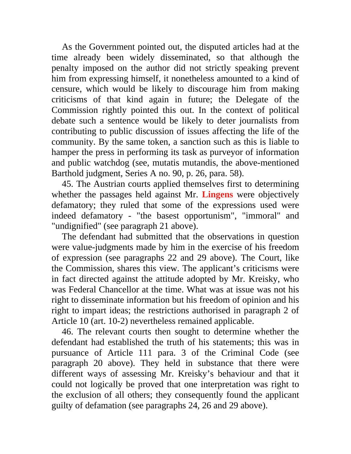As the Government pointed out, the disputed articles had at the time already been widely disseminated, so that although the penalty imposed on the author did not strictly speaking prevent him from expressing himself, it nonetheless amounted to a kind of censure, which would be likely to discourage him from making criticisms of that kind again in future; the Delegate of the Commission rightly pointed this out. In the context of political debate such a sentence would be likely to deter journalists from contributing to public discussion of issues affecting the life of the community. By the same token, a sanction such as this is liable to hamper the press in performing its task as purveyor of information and public watchdog (see, mutatis mutandis, the above-mentioned Barthold judgment, Series A no. 90, p. 26, para. 58).

45. The Austrian courts applied themselves first to determining whether the passages held against Mr. **Lingens** were objectively defamatory; they ruled that some of the expressions used were indeed defamatory - "the basest opportunism", "immoral" and "undignified" (see paragraph 21 above).

The defendant had submitted that the observations in question were value-judgments made by him in the exercise of his freedom of expression (see paragraphs 22 and 29 above). The Court, like the Commission, shares this view. The applicant's criticisms were in fact directed against the attitude adopted by Mr. Kreisky, who was Federal Chancellor at the time. What was at issue was not his right to disseminate information but his freedom of opinion and his right to impart ideas; the restrictions authorised in paragraph 2 of Article 10 (art. 10-2) nevertheless remained applicable.

46. The relevant courts then sought to determine whether the defendant had established the truth of his statements; this was in pursuance of Article 111 para. 3 of the Criminal Code (see paragraph 20 above). They held in substance that there were different ways of assessing Mr. Kreisky's behaviour and that it could not logically be proved that one interpretation was right to the exclusion of all others; they consequently found the applicant guilty of defamation (see paragraphs 24, 26 and 29 above).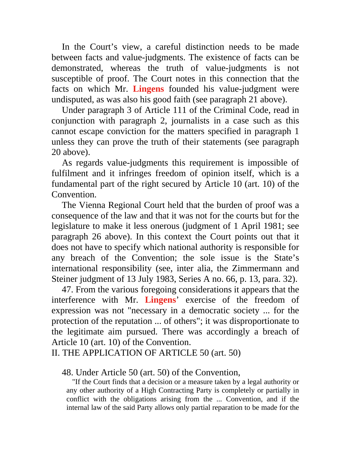In the Court's view, a careful distinction needs to be made between facts and value-judgments. The existence of facts can be demonstrated, whereas the truth of value-judgments is not susceptible of proof. The Court notes in this connection that the facts on which Mr. **Lingens** founded his value-judgment were undisputed, as was also his good faith (see paragraph 21 above).

Under paragraph 3 of Article 111 of the Criminal Code, read in conjunction with paragraph 2, journalists in a case such as this cannot escape conviction for the matters specified in paragraph 1 unless they can prove the truth of their statements (see paragraph 20 above).

As regards value-judgments this requirement is impossible of fulfilment and it infringes freedom of opinion itself, which is a fundamental part of the right secured by Article 10 (art. 10) of the Convention.

The Vienna Regional Court held that the burden of proof was a consequence of the law and that it was not for the courts but for the legislature to make it less onerous (judgment of 1 April 1981; see paragraph 26 above). In this context the Court points out that it does not have to specify which national authority is responsible for any breach of the Convention; the sole issue is the State's international responsibility (see, inter alia, the Zimmermann and Steiner judgment of 13 July 1983, Series A no. 66, p. 13, para. 32).

47. From the various foregoing considerations it appears that the interference with Mr. **Lingens**' exercise of the freedom of expression was not "necessary in a democratic society ... for the protection of the reputation ... of others"; it was disproportionate to the legitimate aim pursued. There was accordingly a breach of Article 10 (art. 10) of the Convention.

II. THE APPLICATION OF ARTICLE 50 (art. 50)

48. Under Article 50 (art. 50) of the Convention,

"If the Court finds that a decision or a measure taken by a legal authority or any other authority of a High Contracting Party is completely or partially in conflict with the obligations arising from the ... Convention, and if the internal law of the said Party allows only partial reparation to be made for the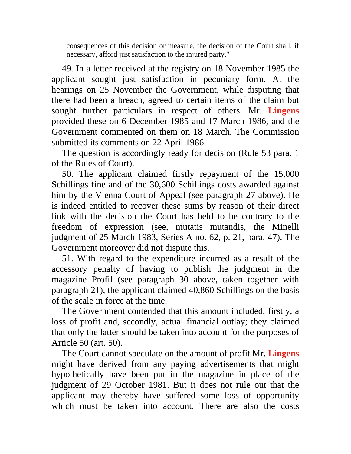consequences of this decision or measure, the decision of the Court shall, if necessary, afford just satisfaction to the injured party."

49. In a letter received at the registry on 18 November 1985 the applicant sought just satisfaction in pecuniary form. At the hearings on 25 November the Government, while disputing that there had been a breach, agreed to certain items of the claim but sought further particulars in respect of others. Mr. **Lingens** provided these on 6 December 1985 and 17 March 1986, and the Government commented on them on 18 March. The Commission submitted its comments on 22 April 1986.

The question is accordingly ready for decision (Rule 53 para. 1 of the Rules of Court).

50. The applicant claimed firstly repayment of the 15,000 Schillings fine and of the 30,600 Schillings costs awarded against him by the Vienna Court of Appeal (see paragraph 27 above). He is indeed entitled to recover these sums by reason of their direct link with the decision the Court has held to be contrary to the freedom of expression (see, mutatis mutandis, the Minelli judgment of 25 March 1983, Series A no. 62, p. 21, para. 47). The Government moreover did not dispute this.

51. With regard to the expenditure incurred as a result of the accessory penalty of having to publish the judgment in the magazine Profil (see paragraph 30 above, taken together with paragraph 21), the applicant claimed 40,860 Schillings on the basis of the scale in force at the time.

The Government contended that this amount included, firstly, a loss of profit and, secondly, actual financial outlay; they claimed that only the latter should be taken into account for the purposes of Article 50 (art. 50).

The Court cannot speculate on the amount of profit Mr. **Lingens** might have derived from any paying advertisements that might hypothetically have been put in the magazine in place of the judgment of 29 October 1981. But it does not rule out that the applicant may thereby have suffered some loss of opportunity which must be taken into account. There are also the costs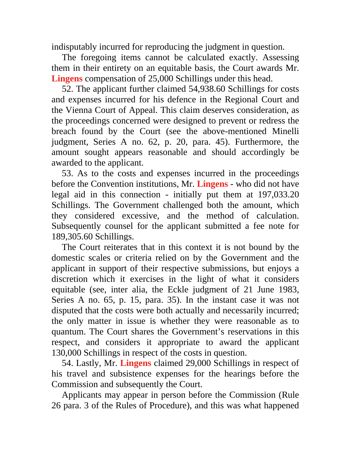indisputably incurred for reproducing the judgment in question.

The foregoing items cannot be calculated exactly. Assessing them in their entirety on an equitable basis, the Court awards Mr. **Lingens** compensation of 25,000 Schillings under this head.

52. The applicant further claimed 54,938.60 Schillings for costs and expenses incurred for his defence in the Regional Court and the Vienna Court of Appeal. This claim deserves consideration, as the proceedings concerned were designed to prevent or redress the breach found by the Court (see the above-mentioned Minelli judgment, Series A no. 62, p. 20, para. 45). Furthermore, the amount sought appears reasonable and should accordingly be awarded to the applicant.

53. As to the costs and expenses incurred in the proceedings before the Convention institutions, Mr. **Lingens** - who did not have legal aid in this connection - initially put them at 197,033.20 Schillings. The Government challenged both the amount, which they considered excessive, and the method of calculation. Subsequently counsel for the applicant submitted a fee note for 189,305.60 Schillings.

The Court reiterates that in this context it is not bound by the domestic scales or criteria relied on by the Government and the applicant in support of their respective submissions, but enjoys a discretion which it exercises in the light of what it considers equitable (see, inter alia, the Eckle judgment of 21 June 1983, Series A no. 65, p. 15, para. 35). In the instant case it was not disputed that the costs were both actually and necessarily incurred; the only matter in issue is whether they were reasonable as to quantum. The Court shares the Government's reservations in this respect, and considers it appropriate to award the applicant 130,000 Schillings in respect of the costs in question.

54. Lastly, Mr. **Lingens** claimed 29,000 Schillings in respect of his travel and subsistence expenses for the hearings before the Commission and subsequently the Court.

Applicants may appear in person before the Commission (Rule 26 para. 3 of the Rules of Procedure), and this was what happened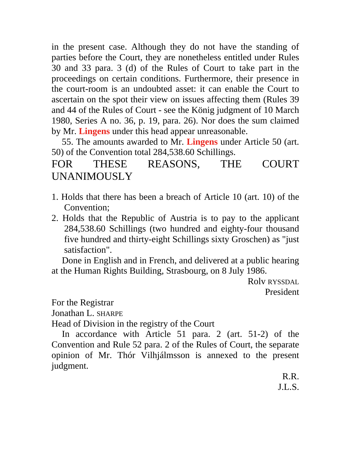in the present case. Although they do not have the standing of parties before the Court, they are nonetheless entitled under Rules 30 and 33 para. 3 (d) of the Rules of Court to take part in the proceedings on certain conditions. Furthermore, their presence in the court-room is an undoubted asset: it can enable the Court to ascertain on the spot their view on issues affecting them (Rules 39 and 44 of the Rules of Court - see the König judgment of 10 March 1980, Series A no. 36, p. 19, para. 26). Nor does the sum claimed by Mr. **Lingens** under this head appear unreasonable.

55. The amounts awarded to Mr. **Lingens** under Article 50 (art. 50) of the Convention total 284,538.60 Schillings.

FOR THESE REASONS, THE COURT UNANIMOUSLY

- 1. Holds that there has been a breach of Article 10 (art. 10) of the Convention;
- 2. Holds that the Republic of Austria is to pay to the applicant 284,538.60 Schillings (two hundred and eighty-four thousand five hundred and thirty-eight Schillings sixty Groschen) as "just satisfaction".

Done in English and in French, and delivered at a public hearing at the Human Rights Building, Strasbourg, on 8 July 1986.

> Rolv RYSSDAL President

For the Registrar

Jonathan L. SHARPE

Head of Division in the registry of the Court

In accordance with Article 51 para. 2 (art. 51-2) of the Convention and Rule 52 para. 2 of the Rules of Court, the separate opinion of Mr. Thór Vilhjálmsson is annexed to the present judgment.

> R.R. J.L.S.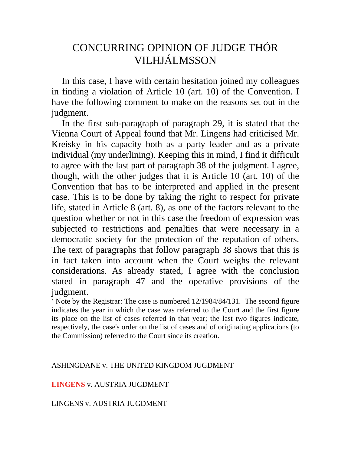# CONCURRING OPINION OF JUDGE THÓR VILHJÁLMSSON

In this case, I have with certain hesitation joined my colleagues in finding a violation of Article 10 (art. 10) of the Convention. I have the following comment to make on the reasons set out in the judgment.

In the first sub-paragraph of paragraph 29, it is stated that the Vienna Court of Appeal found that Mr. Lingens had criticised Mr. Kreisky in his capacity both as a party leader and as a private individual (my underlining). Keeping this in mind, I find it difficult to agree with the last part of paragraph 38 of the judgment. I agree, though, with the other judges that it is Article 10 (art. 10) of the Convention that has to be interpreted and applied in the present case. This is to be done by taking the right to respect for private life, stated in Article 8 (art. 8), as one of the factors relevant to the question whether or not in this case the freedom of expression was subjected to restrictions and penalties that were necessary in a democratic society for the protection of the reputation of others. The text of paragraphs that follow paragraph 38 shows that this is in fact taken into account when the Court weighs the relevant considerations. As already stated, I agree with the conclusion stated in paragraph 47 and the operative provisions of the judgment.

<sup>∗</sup> Note by the Registrar: The case is numbered 12/1984/84/131. The second figure indicates the year in which the case was referred to the Court and the first figure its place on the list of cases referred in that year; the last two figures indicate, respectively, the case's order on the list of cases and of originating applications (to the Commission) referred to the Court since its creation.

#### ASHINGDANE v. THE UNITED KINGDOM JUGDMENT

#### **LINGENS** v. AUSTRIA JUGDMENT

LINGENS v. AUSTRIA JUGDMENT